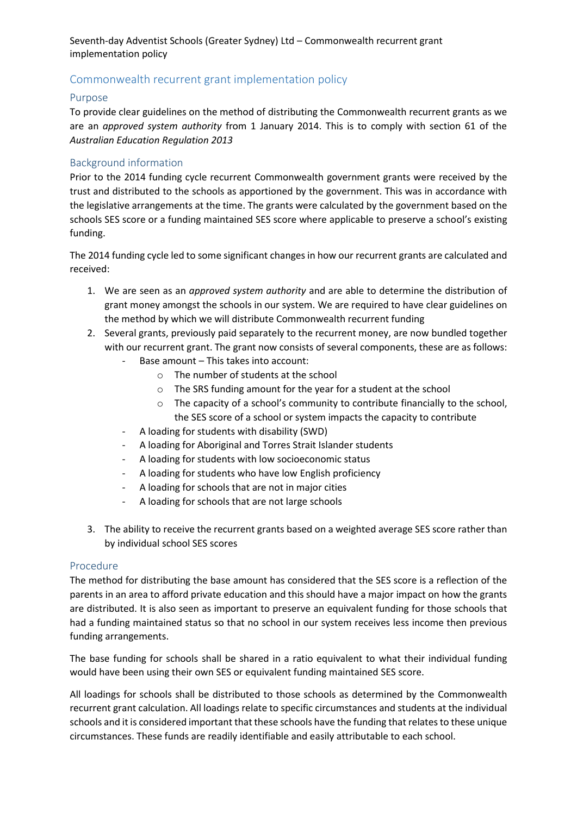Seventh-day Adventist Schools (Greater Sydney) Ltd – Commonwealth recurrent grant implementation policy

## Commonwealth recurrent grant implementation policy

## Purpose

To provide clear guidelines on the method of distributing the Commonwealth recurrent grants as we are an *approved system authority* from 1 January 2014. This is to comply with section 61 of the *Australian Education Regulation 2013*

## Background information

Prior to the 2014 funding cycle recurrent Commonwealth government grants were received by the trust and distributed to the schools as apportioned by the government. This was in accordance with the legislative arrangements at the time. The grants were calculated by the government based on the schools SES score or a funding maintained SES score where applicable to preserve a school's existing funding.

The 2014 funding cycle led to some significant changes in how our recurrent grants are calculated and received:

- 1. We are seen as an *approved system authority* and are able to determine the distribution of grant money amongst the schools in our system. We are required to have clear guidelines on the method by which we will distribute Commonwealth recurrent funding
- 2. Several grants, previously paid separately to the recurrent money, are now bundled together with our recurrent grant. The grant now consists of several components, these are as follows:
	- Base amount This takes into account:
		- o The number of students at the school
		- o The SRS funding amount for the year for a student at the school
		- o The capacity of a school's community to contribute financially to the school, the SES score of a school or system impacts the capacity to contribute
	- A loading for students with disability (SWD)
	- A loading for Aboriginal and Torres Strait Islander students
	- A loading for students with low socioeconomic status
	- A loading for students who have low English proficiency
	- A loading for schools that are not in major cities
	- A loading for schools that are not large schools
- 3. The ability to receive the recurrent grants based on a weighted average SES score rather than by individual school SES scores

## Procedure

The method for distributing the base amount has considered that the SES score is a reflection of the parents in an area to afford private education and this should have a major impact on how the grants are distributed. It is also seen as important to preserve an equivalent funding for those schools that had a funding maintained status so that no school in our system receives less income then previous funding arrangements.

The base funding for schools shall be shared in a ratio equivalent to what their individual funding would have been using their own SES or equivalent funding maintained SES score.

All loadings for schools shall be distributed to those schools as determined by the Commonwealth recurrent grant calculation. All loadings relate to specific circumstances and students at the individual schools and it is considered important that these schools have the funding that relates to these unique circumstances. These funds are readily identifiable and easily attributable to each school.